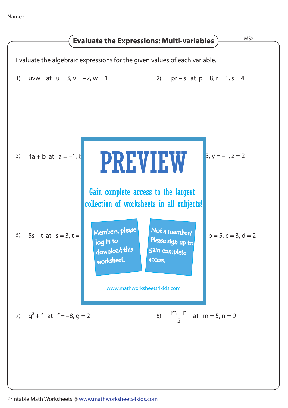